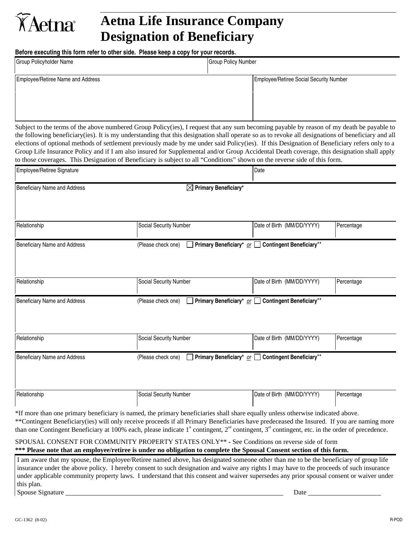## **Aetna Life Insurance Company Designation of Beneficiary**

**Before executing this form refer to other side. Please keep a copy for your records.** 

KAetna

| Group Policyholder Name           | <b>Group Policy Number</b>              |  |
|-----------------------------------|-----------------------------------------|--|
| Employee/Retiree Name and Address | Employee/Retiree Social Security Number |  |
|                                   |                                         |  |
|                                   |                                         |  |

Subject to the terms of the above numbered Group Policy(ies), I request that any sum becoming payable by reason of my death be payable to the following beneficiary(ies). It is my understanding that this designation shall operate so as to revoke all designations of beneficiary and all elections of optional methods of settlement previously made by me under said Policy(ies). If this Designation of Beneficiary refers only to a Group Life Insurance Policy and if I am also insured for Supplemental and/or Group Accidental Death coverage, this designation shall apply to those coverages. This Designation of Beneficiary is subject to all "Conditions" shown on the reverse side of this form.

| Employee/Retiree Signature   |                                  | Date                                                                       |            |  |
|------------------------------|----------------------------------|----------------------------------------------------------------------------|------------|--|
| Beneficiary Name and Address | $\boxtimes$ Primary Beneficiary* |                                                                            |            |  |
|                              |                                  |                                                                            |            |  |
| Relationship                 | Social Security Number           | Date of Birth (MM/DD/YYYY)                                                 | Percentage |  |
| Beneficiary Name and Address | (Please check one)               | □ Primary Beneficiary* or □ Contingent Beneficiary**                       |            |  |
|                              |                                  |                                                                            |            |  |
| Relationship                 | Social Security Number           | Date of Birth (MM/DD/YYYY)                                                 | Percentage |  |
| Beneficiary Name and Address | (Please check one)               | Primary Beneficiary <sup>*</sup> or □ Contingent Beneficiary <sup>**</sup> |            |  |
|                              |                                  |                                                                            |            |  |
| Relationship                 | Social Security Number           | Date of Birth (MM/DD/YYYY)                                                 | Percentage |  |
| Beneficiary Name and Address | (Please check one)               | <b>Primary Beneficiary</b> * $or$ Contingent Beneficiary <sup>**</sup>     |            |  |
|                              |                                  |                                                                            |            |  |
| Relationship                 | Social Security Number           | Date of Birth (MM/DD/YYYY)                                                 | Percentage |  |

\*If more than one primary beneficiary is named, the primary beneficiaries shall share equally unless otherwise indicated above. \*\*Contingent Beneficiary(ies) will only receive proceeds if all Primary Beneficiaries have predeceased the Insured. If you are naming more than one Contingent Beneficiary at 100% each, please indicate  $1^{\text{st}}$  contingent,  $2^{\text{nd}}$  contingent,  $3^{\text{rd}}$  contingent, etc. in the order of precedence.

SPOUSAL CONSENT FOR COMMUNITY PROPERTY STATES ONLY\*\* **-** See Conditions on reverse side of form **\*\*\* Please note that an employee/retiree is under no obligation to complete the Spousal Consent section of this form.** 

I am aware that my spouse, the Employee/Retiree named above, has designated someone other than me to be the beneficiary of group life insurance under the above policy. I hereby consent to such designation and waive any rights I may have to the proceeds of such insurance under applicable community property laws. I understand that this consent and waiver supersedes any prior spousal consent or waiver under this plan.

Spouse Signature Date Date of the Spouse Signature Date of the Spouse Signature Date of the Date of the Spouse Signature Date of the Spouse Signature Date of the Spouse Signature Date of the Spouse Signature of the Spouse